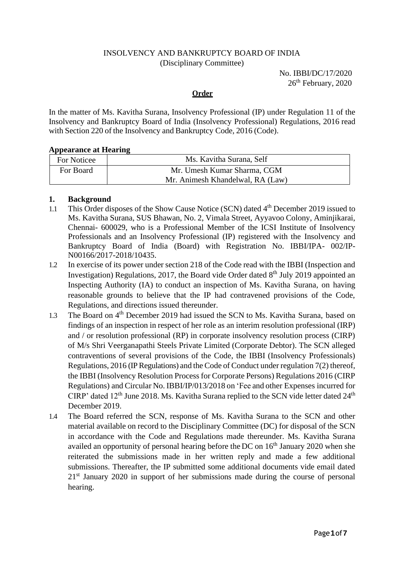### INSOLVENCY AND BANKRUPTCY BOARD OF INDIA (Disciplinary Committee)

 No. IBBI/DC/17/2020 26<sup>th</sup> February, 2020

#### **Order**

In the matter of Ms. Kavitha Surana, Insolvency Professional (IP) under Regulation 11 of the Insolvency and Bankruptcy Board of India (Insolvency Professional) Regulations, 2016 read with Section 220 of the Insolvency and Bankruptcy Code, 2016 (Code).

#### **Appearance at Hearing**

| For Noticee | Ms. Kavitha Surana, Self         |
|-------------|----------------------------------|
| For Board   | Mr. Umesh Kumar Sharma, CGM      |
|             | Mr. Animesh Khandelwal, RA (Law) |

## **1. Background**

- 1.1 This Order disposes of the Show Cause Notice (SCN) dated 4<sup>th</sup> December 2019 issued to Ms. Kavitha Surana, SUS Bhawan, No. 2, Vimala Street, Ayyavoo Colony, Aminjikarai, Chennai- 600029, who is a Professional Member of the ICSI Institute of Insolvency Professionals and an Insolvency Professional (IP) registered with the Insolvency and Bankruptcy Board of India (Board) with Registration No. IBBI/IPA- 002/IP-N00166/2017-2018/10435.
- 1.2 In exercise of its power under section 218 of the Code read with the IBBI (Inspection and Investigation) Regulations, 2017, the Board vide Order dated 8<sup>th</sup> July 2019 appointed an Inspecting Authority (IA) to conduct an inspection of Ms. Kavitha Surana, on having reasonable grounds to believe that the IP had contravened provisions of the Code, Regulations, and directions issued thereunder.
- 1.3 The Board on 4<sup>th</sup> December 2019 had issued the SCN to Ms. Kavitha Surana, based on findings of an inspection in respect of her role as an interim resolution professional (IRP) and / or resolution professional (RP) in corporate insolvency resolution process (CIRP) of M/s Shri Veerganapathi Steels Private Limited (Corporate Debtor). The SCN alleged contraventions of several provisions of the Code, the IBBI (Insolvency Professionals) Regulations, 2016 (IP Regulations) and the Code of Conduct under regulation 7(2) thereof, the IBBI (Insolvency Resolution Process for Corporate Persons) Regulations 2016 (CIRP Regulations) and Circular No. IBBI/IP/013/2018 on 'Fee and other Expenses incurred for CIRP' dated  $12<sup>th</sup>$  June 2018. Ms. Kavitha Surana replied to the SCN vide letter dated  $24<sup>th</sup>$ December 2019.
- 1.4 The Board referred the SCN, response of Ms. Kavitha Surana to the SCN and other material available on record to the Disciplinary Committee (DC) for disposal of the SCN in accordance with the Code and Regulations made thereunder. Ms. Kavitha Surana availed an opportunity of personal hearing before the DC on  $16<sup>th</sup>$  January 2020 when she reiterated the submissions made in her written reply and made a few additional submissions. Thereafter, the IP submitted some additional documents vide email dated 21st January 2020 in support of her submissions made during the course of personal hearing.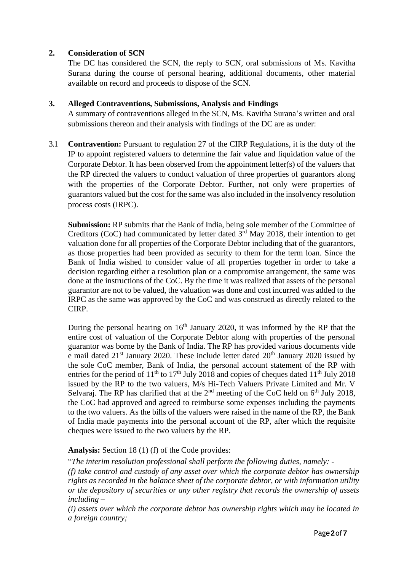### **2. Consideration of SCN**

The DC has considered the SCN, the reply to SCN, oral submissions of Ms. Kavitha Surana during the course of personal hearing, additional documents, other material available on record and proceeds to dispose of the SCN.

### **3. Alleged Contraventions, Submissions, Analysis and Findings**

A summary of contraventions alleged in the SCN, Ms. Kavitha Surana's written and oral submissions thereon and their analysis with findings of the DC are as under:

3.1 **Contravention:** Pursuant to regulation 27 of the CIRP Regulations, it is the duty of the IP to appoint registered valuers to determine the fair value and liquidation value of the Corporate Debtor. It has been observed from the appointment letter(s) of the valuers that the RP directed the valuers to conduct valuation of three properties of guarantors along with the properties of the Corporate Debtor. Further, not only were properties of guarantors valued but the cost for the same was also included in the insolvency resolution process costs (IRPC).

**Submission:** RP submits that the Bank of India, being sole member of the Committee of Creditors (CoC) had communicated by letter dated  $3<sup>rd</sup>$  May 2018, their intention to get valuation done for all properties of the Corporate Debtor including that of the guarantors, as those properties had been provided as security to them for the term loan. Since the Bank of India wished to consider value of all properties together in order to take a decision regarding either a resolution plan or a compromise arrangement, the same was done at the instructions of the CoC. By the time it was realized that assets of the personal guarantor are not to be valued, the valuation was done and cost incurred was added to the IRPC as the same was approved by the CoC and was construed as directly related to the CIRP.

During the personal hearing on 16<sup>th</sup> January 2020, it was informed by the RP that the entire cost of valuation of the Corporate Debtor along with properties of the personal guarantor was borne by the Bank of India. The RP has provided various documents vide e mail dated  $21<sup>st</sup>$  January 2020. These include letter dated  $20<sup>th</sup>$  January 2020 issued by the sole CoC member, Bank of India, the personal account statement of the RP with entries for the period of  $11<sup>th</sup>$  to  $17<sup>th</sup>$  July 2018 and copies of cheques dated  $11<sup>th</sup>$  July 2018 issued by the RP to the two valuers, M/s Hi-Tech Valuers Private Limited and Mr. V Selvaraj. The RP has clarified that at the  $2<sup>nd</sup>$  meeting of the CoC held on  $6<sup>th</sup>$  July 2018, the CoC had approved and agreed to reimburse some expenses including the payments to the two valuers. As the bills of the valuers were raised in the name of the RP, the Bank of India made payments into the personal account of the RP, after which the requisite cheques were issued to the two valuers by the RP.

## **Analysis:** Section 18 (1) (f) of the Code provides:

"*The interim resolution professional shall perform the following duties, namely: -*

*(f) take control and custody of any asset over which the corporate debtor has ownership rights as recorded in the balance sheet of the corporate debtor, or with information utility or the depository of securities or any other registry that records the ownership of assets including –*

*(i) assets over which the corporate debtor has ownership rights which may be located in a foreign country;*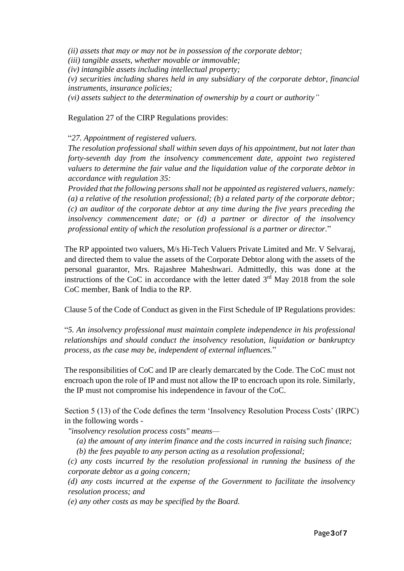*(ii) assets that may or may not be in possession of the corporate debtor; (iii) tangible assets, whether movable or immovable; (iv) intangible assets including intellectual property; (v) securities including shares held in any subsidiary of the corporate debtor, financial instruments, insurance policies; (vi) assets subject to the determination of ownership by a court or authority"*

Regulation 27 of the CIRP Regulations provides:

"*27. Appointment of registered valuers.* 

*The resolution professional shall within seven days of his appointment, but not later than forty-seventh day from the insolvency commencement date, appoint two registered valuers to determine the fair value and the liquidation value of the corporate debtor in accordance with regulation 35:* 

*Provided that the following persons shall not be appointed as registered valuers, namely: (a) a relative of the resolution professional; (b) a related party of the corporate debtor; (c) an auditor of the corporate debtor at any time during the five years preceding the insolvency commencement date; or (d) a partner or director of the insolvency professional entity of which the resolution professional is a partner or director.*"

The RP appointed two valuers, M/s Hi-Tech Valuers Private Limited and Mr. V Selvaraj, and directed them to value the assets of the Corporate Debtor along with the assets of the personal guarantor, Mrs. Rajashree Maheshwari. Admittedly, this was done at the instructions of the CoC in accordance with the letter dated  $3<sup>rd</sup>$  May 2018 from the sole CoC member, Bank of India to the RP.

Clause 5 of the Code of Conduct as given in the First Schedule of IP Regulations provides:

"*5. An insolvency professional must maintain complete independence in his professional relationships and should conduct the insolvency resolution, liquidation or bankruptcy process, as the case may be, independent of external influences.*"

The responsibilities of CoC and IP are clearly demarcated by the Code. The CoC must not encroach upon the role of IP and must not allow the IP to encroach upon its role. Similarly, the IP must not compromise his independence in favour of the CoC.

Section 5 (13) of the Code defines the term 'Insolvency Resolution Process Costs' (IRPC) in the following words -

*"insolvency resolution process costs" means—*

*(a) the amount of any interim finance and the costs incurred in raising such finance;*

*(b) the fees payable to any person acting as a resolution professional;*

*(c) any costs incurred by the resolution professional in running the business of the corporate debtor as a going concern;*

*(d) any costs incurred at the expense of the Government to facilitate the insolvency resolution process; and*

*(e) any other costs as may be specified by the Board.*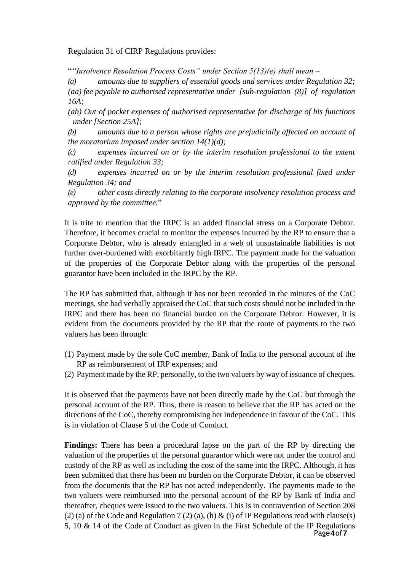Regulation 31 of CIRP Regulations provides:

"*"Insolvency Resolution Process Costs" under Section 5(13)(e) shall mean –*

*(a) amounts due to suppliers of essential goods and services under Regulation 32; (aa) fee payable to authorised representative under [sub-regulation (8)] of regulation 16A;*

*(ab) Out of pocket expenses of authorised representative for discharge of his functions under [Section 25A];*

*(b) amounts due to a person whose rights are prejudicially affected on account of the moratorium imposed under section 14(1)(d);*

*(c) expenses incurred on or by the interim resolution professional to the extent ratified under Regulation 33;*

*(d) expenses incurred on or by the interim resolution professional fixed under Regulation 34; and*

*(e) other costs directly relating to the corporate insolvency resolution process and approved by the committee.*"

It is trite to mention that the IRPC is an added financial stress on a Corporate Debtor. Therefore, it becomes crucial to monitor the expenses incurred by the RP to ensure that a Corporate Debtor, who is already entangled in a web of unsustainable liabilities is not further over-burdened with exorbitantly high IRPC. The payment made for the valuation of the properties of the Corporate Debtor along with the properties of the personal guarantor have been included in the IRPC by the RP.

The RP has submitted that, although it has not been recorded in the minutes of the CoC meetings, she had verbally appraised the CoC that such costs should not be included in the IRPC and there has been no financial burden on the Corporate Debtor. However, it is evident from the documents provided by the RP that the route of payments to the two valuers has been through:

- (1) Payment made by the sole CoC member, Bank of India to the personal account of the RP as reimbursement of IRP expenses; and
- (2) Payment made by the RP, personally, to the two valuers by way of issuance of cheques.

It is observed that the payments have not been directly made by the CoC but through the personal account of the RP. Thus, there is reason to believe that the RP has acted on the directions of the CoC, thereby compromising her independence in favour of the CoC. This is in violation of Clause 5 of the Code of Conduct.

Page**4**of**7 Findings:** There has been a procedural lapse on the part of the RP by directing the valuation of the properties of the personal guarantor which were not under the control and custody of the RP as well as including the cost of the same into the IRPC. Although, it has been submitted that there has been no burden on the Corporate Debtor, it can be observed from the documents that the RP has not acted independently. The payments made to the two valuers were reimbursed into the personal account of the RP by Bank of India and thereafter, cheques were issued to the two valuers. This is in contravention of Section 208 (2) (a) of the Code and Regulation 7 (2) (a), (h) & (i) of IP Regulations read with clause(s) 5, 10 & 14 of the Code of Conduct as given in the First Schedule of the IP Regulations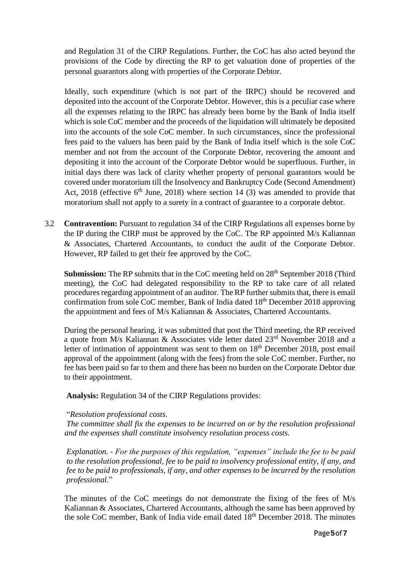and Regulation 31 of the CIRP Regulations. Further, the CoC has also acted beyond the provisions of the Code by directing the RP to get valuation done of properties of the personal guarantors along with properties of the Corporate Debtor.

Ideally, such expenditure (which is not part of the IRPC) should be recovered and deposited into the account of the Corporate Debtor. However, this is a peculiar case where all the expenses relating to the IRPC has already been borne by the Bank of India itself which is sole CoC member and the proceeds of the liquidation will ultimately be deposited into the accounts of the sole CoC member. In such circumstances, since the professional fees paid to the valuers has been paid by the Bank of India itself which is the sole CoC member and not from the account of the Corporate Debtor, recovering the amount and depositing it into the account of the Corporate Debtor would be superfluous. Further, in initial days there was lack of clarity whether property of personal guarantors would be covered under moratorium till the Insolvency and Bankruptcy Code (Second Amendment) Act,  $2018$  (effective  $6<sup>th</sup>$  June,  $2018$ ) where section 14 (3) was amended to provide that moratorium shall not apply to a surety in a contract of guarantee to a corporate debtor.

3.2 **Contravention:** Pursuant to regulation 34 of the CIRP Regulations all expenses borne by the IP during the CIRP must be approved by the CoC. The RP appointed M/s Kaliannan & Associates, Chartered Accountants, to conduct the audit of the Corporate Debtor. However, RP failed to get their fee approved by the CoC.

**Submission:** The RP submits that in the CoC meeting held on 28<sup>th</sup> September 2018 (Third meeting), the CoC had delegated responsibility to the RP to take care of all related procedures regarding appointment of an auditor. The RP further submits that, there is email confirmation from sole CoC member, Bank of India dated 18<sup>th</sup> December 2018 approving the appointment and fees of M/s Kaliannan & Associates, Chartered Accountants.

During the personal hearing, it was submitted that post the Third meeting, the RP received a quote from M/s Kaliannan & Associates vide letter dated 23rd November 2018 and a letter of intimation of appointment was sent to them on  $18<sup>th</sup>$  December 2018, post email approval of the appointment (along with the fees) from the sole CoC member. Further, no fee has been paid so far to them and there has been no burden on the Corporate Debtor due to their appointment.

**Analysis:** Regulation 34 of the CIRP Regulations provides:

## "*Resolution professional costs.*

*The committee shall fix the expenses to be incurred on or by the resolution professional and the expenses shall constitute insolvency resolution process costs.* 

*Explanation. - For the purposes of this regulation, "expenses" include the fee to be paid to the resolution professional, fee to be paid to insolvency professional entity, if any, and fee to be paid to professionals, if any, and other expenses to be incurred by the resolution professional.*"

The minutes of the CoC meetings do not demonstrate the fixing of the fees of M/s Kaliannan & Associates, Chartered Accountants, although the same has been approved by the sole CoC member, Bank of India vide email dated  $18<sup>th</sup>$  December 2018. The minutes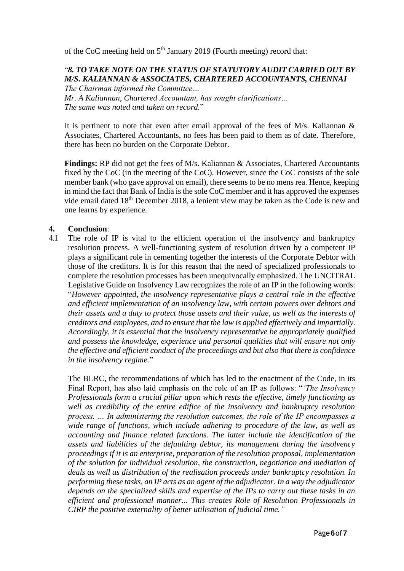of the CoC meeting held on 5<sup>th</sup> January 2019 (Fourth meeting) record that:

### "*8. TO TAKE NOTE ON THE STATUS OF STATUTORY AUDIT CARRIED OUT BY M/S. KALIANNAN & ASSOCIATES, CHARTERED ACCOUNTANTS, CHENNAI The Chairman informed the Committee…*

*Mr. A Kaliannan, Chartered Accountant, has sought clarifications… The same was noted and taken on record.*"

It is pertinent to note that even after email approval of the fees of  $M/s$ . Kaliannan  $\&$ Associates, Chartered Accountants, no fees has been paid to them as of date. Therefore, there has been no burden on the Corporate Debtor.

**Findings:** RP did not get the fees of M/s. Kaliannan & Associates, Chartered Accountants fixed by the CoC (in the meeting of the CoC). However, since the CoC consists of the sole member bank (who gave approval on email), there seems to be no mens rea. Hence, keeping in mind the fact that Bank of India is the sole CoC member and it has approved the expenses vide email dated 18<sup>th</sup> December 2018, a lenient view may be taken as the Code is new and one learns by experience.

### **4. Conclusion**:

4.1 The role of IP is vital to the efficient operation of the insolvency and bankruptcy resolution process. A well-functioning system of resolution driven by a competent IP plays a significant role in cementing together the interests of the Corporate Debtor with those of the creditors. It is for this reason that the need of specialized professionals to complete the resolution processes has been unequivocally emphasized. The UNCITRAL Legislative Guide on Insolvency Law recognizes the role of an IP in the following words: "*However appointed, the insolvency representative plays a central role in the effective and efficient implementation of an insolvency law, with certain powers over debtors and their assets and a duty to protect those assets and their value, as well as the interests of creditors and employees, and to ensure that the law is applied effectively and impartially. Accordingly, it is essential that the insolvency representative be appropriately qualified and possess the knowledge, experience and personal qualities that will ensure not only the effective and efficient conduct of the proceedings and but also that there is confidence in the insolvency regime.*"

The BLRC, the recommendations of which has led to the enactment of the Code, in its Final Report, has also laid emphasis on the role of an IP as follows: "*'The Insolvency Professionals form a crucial pillar upon which rests the effective, timely functioning as well as credibility of the entire edifice of the insolvency and bankruptcy resolution process. … In administering the resolution outcomes, the role of the IP encompasses a wide range of functions, which include adhering to procedure of the law, as well as accounting and finance related functions. The latter include the identification of the assets and liabilities of the defaulting debtor, its management during the insolvency proceedings if it is an enterprise, preparation of the resolution proposal, implementation of the solution for individual resolution, the construction, negotiation and mediation of deals as well as distribution of the realisation proceeds under bankruptcy resolution. In performing these tasks, an IP acts as an agent of the adjudicator. In a way the adjudicator depends on the specialized skills and expertise of the IPs to carry out these tasks in an efficient and professional manner... This creates Role of Resolution Professionals in CIRP the positive externality of better utilisation of judicial time."*